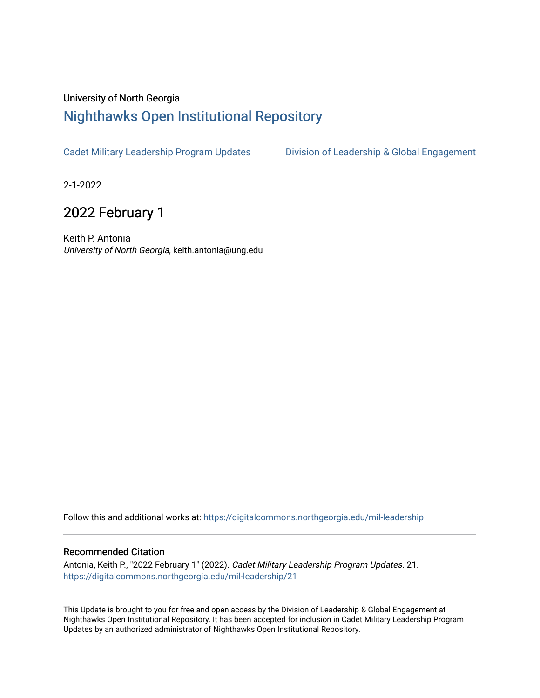### University of North Georgia

## [Nighthawks Open Institutional Repository](https://digitalcommons.northgeorgia.edu/)

[Cadet Military Leadership Program Updates](https://digitalcommons.northgeorgia.edu/mil-leadership) [Division of Leadership & Global Engagement](https://digitalcommons.northgeorgia.edu/leadership) 

2-1-2022

# 2022 February 1

Keith P. Antonia University of North Georgia, keith.antonia@ung.edu

Follow this and additional works at: [https://digitalcommons.northgeorgia.edu/mil-leadership](https://digitalcommons.northgeorgia.edu/mil-leadership?utm_source=digitalcommons.northgeorgia.edu%2Fmil-leadership%2F21&utm_medium=PDF&utm_campaign=PDFCoverPages) 

### Recommended Citation

Antonia, Keith P., "2022 February 1" (2022). Cadet Military Leadership Program Updates. 21. [https://digitalcommons.northgeorgia.edu/mil-leadership/21](https://digitalcommons.northgeorgia.edu/mil-leadership/21?utm_source=digitalcommons.northgeorgia.edu%2Fmil-leadership%2F21&utm_medium=PDF&utm_campaign=PDFCoverPages)

This Update is brought to you for free and open access by the Division of Leadership & Global Engagement at Nighthawks Open Institutional Repository. It has been accepted for inclusion in Cadet Military Leadership Program Updates by an authorized administrator of Nighthawks Open Institutional Repository.